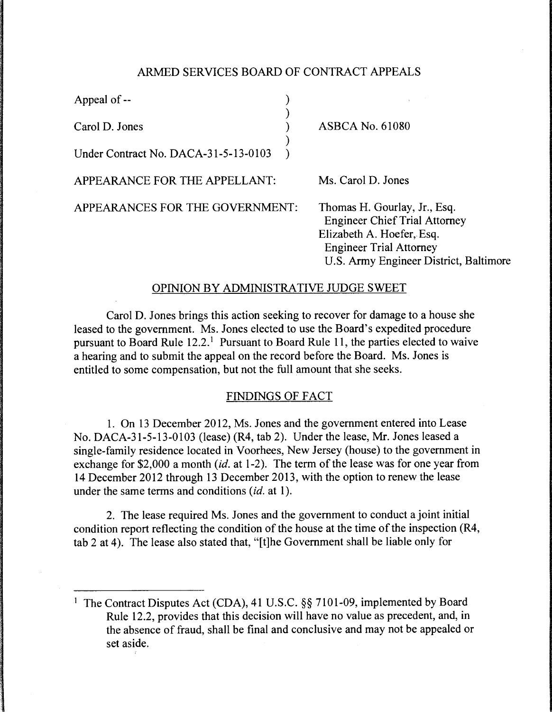#### ARMED SERVICES BOARD OF CONTRACT APPEALS

)

)

Appeal of --

Carol D. Jones )

Under Contract No. DACA-31-5-13-0103 )

APPEARANCE FOR THE APPELLANT:

Ms. Carol D. Jones

ASBCA No. 61080

APPEARANCES FOR THE GOVERNMENT:

Thomas H. Gourlay, Jr., Esq. Engineer Chief Trial Attorney Elizabeth A. Hoefer, Esq. Engineer Trial Attorney U.S. Army Engineer District, Baltimore

# OPINION BY ADMINISTRATIVE JUDGE SWEET

Carol D. Jones brings this action seeking to recover for damage to a house she leased to the government. Ms. Jones elected to use the Board's expedited procedure pursuant to Board Rule  $12.2<sup>1</sup>$  Pursuant to Board Rule 11, the parties elected to waive a hearing and to submit the appeal on the record before the Board. Ms. Jones is entitled to some compensation, but not the full amount that she seeks.

# FINDINGS OF FACT

1. On 13 December 2012, Ms. Jones and the government entered into Lease No. DACA-31-5-13-0103 (lease) (R4, tab 2). Under the lease, Mr. Jones leased a single-family residence located in Voorhees, New Jersey (house) to the government in exchange for \$2,000 a month *(id.* at 1-2). The term of the lease was for one year from 14 December 2012 through 13 December 2013, with the option to renew the lease under the same terms and conditions (id. at 1).

2. The lease required Ms. Jones and the government to conduct a joint initial condition report reflecting the condition of the house at the time of the inspection (R4, tab 2 at 4). The lease also stated that, "[t]he Government shall be liable only for

<sup>&</sup>lt;sup>1</sup> The Contract Disputes Act (CDA), 41 U.S.C. §§ 7101-09, implemented by Board Rule 12.2, provides that this decision will have no value as precedent, and, in the absence of fraud, shall be final and conclusive and may not be appealed or set aside.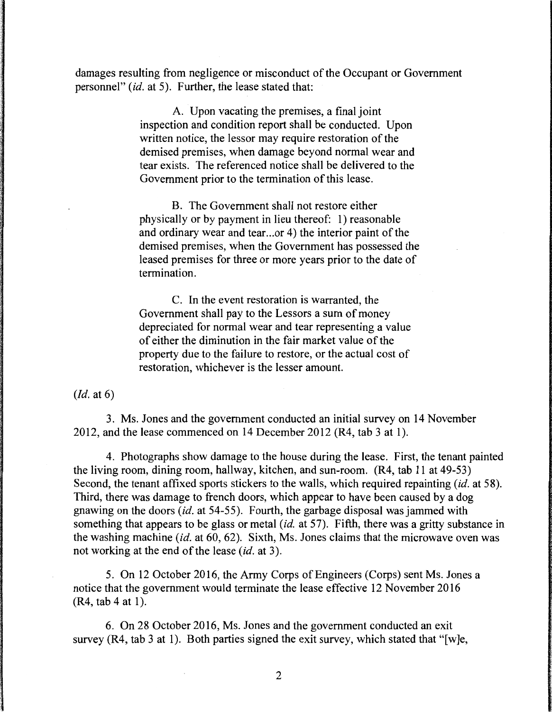damages resulting from negligence or misconduct of the Occupant or Government personnel" *(id.* at 5). Further, the lease stated that:

> A. Upon vacating the premises, a final joint inspection and condition report shall be conducted. Upon written notice, the lessor may require restoration of the demised premises, when damage beyond normal wear and tear exists. The referenced notice shall be delivered to the Government prior to the termination of this lease.

B. The Government shall not restore either physically or by payment in lieu thereof: 1) reasonable and ordinary wear and tear...or 4) the interior paint of the demised premises, when the Government has possessed the leased premises for three or more years prior to the date of termination.

C. In the event restoration is warranted, the Government shall pay to the Lessors a sum of money depreciated for normal wear and tear representing a value of either the diminution in the fair market value of the property due to the failure to restore, or the actual cost of restoration, whichever is the lesser amount.

*(Id.* at 6)

3. Ms. Jones and the government conducted an initial survey on 14 November 2012, and the lease commenced on 14 December 2012 (R4, tab 3 at 1).

4. Photographs show damage to the house during the lease. First, the tenant painted the living room, dining room, hallway, kitchen, and sun-room. (R4, tab 11 at 49-53) Second, the tenant affixed sports stickers to the walls, which required repainting *(id.* at 58). Third, there was damage to french doors, which appear to have been caused by a dog gnawing on the doors *(id.* at 54-55). Fourth, the garbage disposal was jammed with something that appears to be glass or metal *(id.* at 57). Fifth, there was a gritty substance in the washing machine *(id.* at 60, 62). Sixth, Ms. Jones claims that the microwave oven was not working at the end of the lease *(id.* at 3 ).

5. On 12 October 2016, the Army Corps of Engineers (Corps) sent Ms. Jones a notice that the government would terminate the lease effective 12 November 2016  $(R4, tab 4 at 1).$ 

6. On 28 October 2016, Ms. Jones and the government conducted an exit survey (R4, tab 3 at 1). Both parties signed the exit survey, which stated that "[w]e,

 $\lambda$ 

2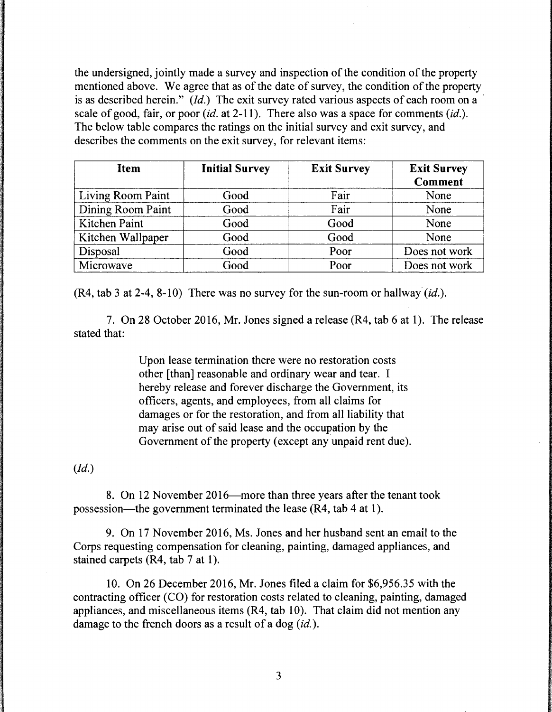the undersigned, jointly made a survey and inspection of the condition of the property mentioned above. We agree that as of the date of survey, the condition of the property is as described herein." *(Id.)* The exit survey rated various aspects of each room on a scale of good, fair, or poor *(id.* at 2-11 ). There also was a space for comments *(id.).*  The below table compares the ratings on the initial survey and exit survey, and describes the comments on the exit survey, for relevant items:

| <b>Item</b>       | <b>Initial Survey</b> | <b>Exit Survey</b> | <b>Exit Survey</b><br><b>Comment</b> |
|-------------------|-----------------------|--------------------|--------------------------------------|
| Living Room Paint | Good                  | Fair               | None                                 |
| Dining Room Paint | Good                  | Fair               | None                                 |
| Kitchen Paint     | Good                  | Good               | None                                 |
| Kitchen Wallpaper | Good                  | Good               | None                                 |
| Disposal          | Good                  | Poor               | Does not work                        |
| Microwave         | Good                  | Poor               | Does not work                        |

(R4, tab 3 at 2-4, 8-10) There was no survey for the sun-room or hallway *(id.).* 

7. On 28 October 2016, Mr. Jones signed a release (R4, tab 6 at 1). The release stated that:

> Upon lease termination there were no restoration costs other [than] reasonable and ordinary wear and tear. I hereby release and forever discharge the Government, its officers, agents, and employees, from all claims for damages or for the restoration, and from all liability that may arise out of said lease and the occupation by the Government of the property (except any unpaid rent due).

*(Id.)* 

8. On 12 November 2016—more than three years after the tenant took possession-the government terminated the lease (R4, tab 4 at **1** ).

9. On 17 November 2016, Ms. Jones and her husband sent an email to the Corps requesting compensation for cleaning, painting, damaged appliances, and stained carpets (R4, tab 7 at 1).

10. On 26 December 2016, Mr. Jones filed a claim for \$6,956.35 with the contracting officer (CO) for restoration costs related to cleaning, painting, damaged appliances, and miscellaneous items (R4, tab 10). That claim did not mention any damage to the french doors as a result of a dog *(id.).*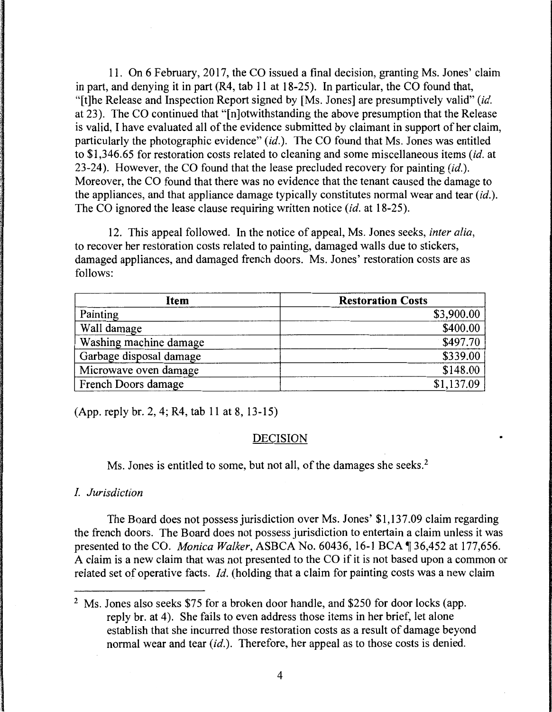11. On 6 February, 2017, the CO issued a final decision, granting Ms. Jones' claim in part, and denying it in part (R4, tab 11 at 18-25). In particular, the CO found that, "[t]he Release and Inspection Report signed by [Ms. Jones] are presumptively valid" *(id.*  at 23). The CO continued that "[n]otwithstanding the above presumption that the Release is valid, I have evaluated all of the evidence submitted by claimant in support of her claim, particularly the photographic evidence" *(id.).* The CO found that Ms. Jones was entitled to \$1,346.65 for restoration costs related to cleaning and some miscellaneous items *(id.* at 23-24). However, the CO found that the lease precluded recovery for painting *(id.).*  Moreover, the CO found that there was no evidence that the tenant caused the damage to the appliances, and that appliance damage typically constitutes normal wear and tear *(id.).*  The CO ignored the lease clause requiring written notice *(id.* at 18-25).

12. This appeal followed. In the notice of appeal, Ms. Jones seeks, *inter alia,*  to recover her restoration costs related to painting, damaged walls due to stickers, damaged appliances, and damaged french doors. Ms. Jones' restoration costs are as follows:

| Item                    | <b>Restoration Costs</b> |  |
|-------------------------|--------------------------|--|
| Painting                | \$3,900.00               |  |
| Wall damage             | \$400.00                 |  |
| Washing machine damage  | \$497.70                 |  |
| Garbage disposal damage | \$339.00                 |  |
| Microwave oven damage   | \$148.00                 |  |
| French Doors damage     | \$1,137.09               |  |

(App. reply br. 2, 4; R4, tab 11 at 8, 13-15)

# DECISION

Ms. Jones is entitled to some, but not all, of the damages she seeks.<sup>2</sup>

# I. *Jurisdiction*

The Board does not possess jurisdiction over Ms. Jones' \$1,137.09 claim regarding the french doors. The Board does not possess jurisdiction to entertain a claim unless it was presented to the CO. *Monica Walker*, ASBCA No. 60436, 16-1 BCA ¶ 36,452 at 177,656. A claim is a new claim that was not presented to the CO if it is not based upon a common or related set of operative facts. *Id.* (holding that a claim for painting costs was a new claim

<sup>&</sup>lt;sup>2</sup> Ms. Jones also seeks \$75 for a broken door handle, and \$250 for door locks (app. reply br. at 4). She fails to even address those items in her brief, let alone establish that she incurred those restoration costs as a result of damage beyond normal wear and tear *(id.).* Therefore, her appeal as to those costs is denied.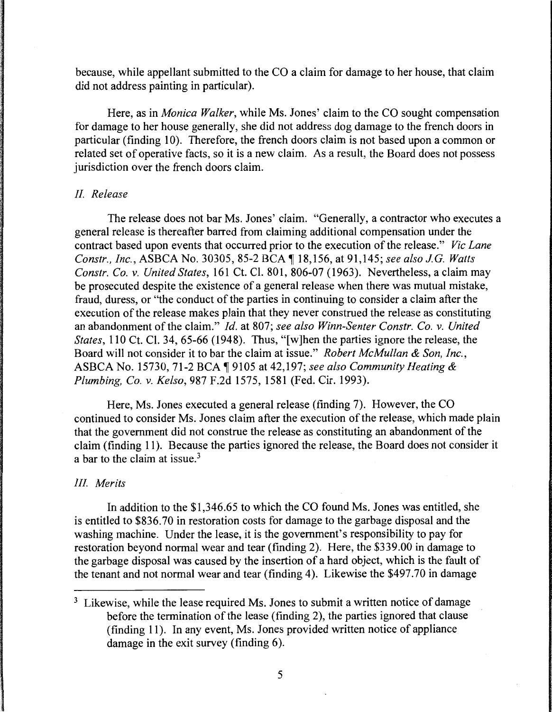because, while appellant submitted to the CO a claim for damage to her house, that claim did not address painting in particular).

Here, as in *Monica Walker,* while Ms. Jones' claim to the CO sought compensation for damage to her house generally, she did not address dog damage to the french doors in particular (finding 10). Therefore, the french doors claim is not based upon a common or related set of operative facts, so it is a new claim. As a result, the Board does not possess jurisdiction over the french doors claim.

#### *II Release*

The release does not bar Ms. Jones' claim. "Generally, a contractor who executes a general release is thereafter barred from claiming additional compensation under the contract based upon events that occurred prior to the execution of the release." *Vic Lane Constr., Inc., ASBCA No.* 30305, 85-2 BCA ¶ 18,156, at 91,145; *see also J.G. Watts Constr. Co. v. United States,* 161 Ct. Cl. 801, 806-07 (1963). Nevertheless, a claim may be prosecuted despite the existence of a general release when there was mutual mistake, fraud, duress, or "the conduct of the parties in continuing to consider a claim after the execution of the release makes plain that they never construed the release as constituting an abandonment of the claim." *Id.* at 807; *see also Winn-Senter Constr. Co. v. United States,* 110 Ct. Cl. 34, 65-66 (1948). Thus, "[w]hen the parties ignore the release, the Board will not consider it to bar the claim at issue." *Robert McMullan* & *Son, Inc.,*  ASBCA No. 15730, 71-2 BCA 19105 at 42,197; see also Community Heating & *Plumbing, Co. v. Kelso,* 987 F.2d 1575, 1581 (Fed. Cir. 1993).

Here, Ms. Jones executed a general release (finding 7). However, the CO continued to consider Ms. Jones claim after the execution of the release, which made plain that the government did not construe the release as constituting an abandonment of the claim (finding 11). Because the parties ignored the release, the Board does not consider it a bar to the claim at issue.<sup>3</sup>

#### *Ill Merits*

In addition to the \$1,346.65 to which the CO found Ms. Jones was entitled, she is entitled to \$836. 70 in restoration costs for damage to the garbage disposal and the washing machine. Under the lease, it is the government's responsibility to pay for restoration beyond normal wear and tear (finding 2). Here, the \$339.00 in damage to the garbage disposal was caused by the insertion of a hard object, which is the fault of the tenant and not normal wear and tear (finding 4). Likewise the \$497.70 in damage

 $3$  Likewise, while the lease required Ms. Jones to submit a written notice of damage before the termination of the lease (finding 2), the parties ignored that clause (finding 11). In any event, Ms. Jones provided written notice of appliance damage in the exit survey (finding 6).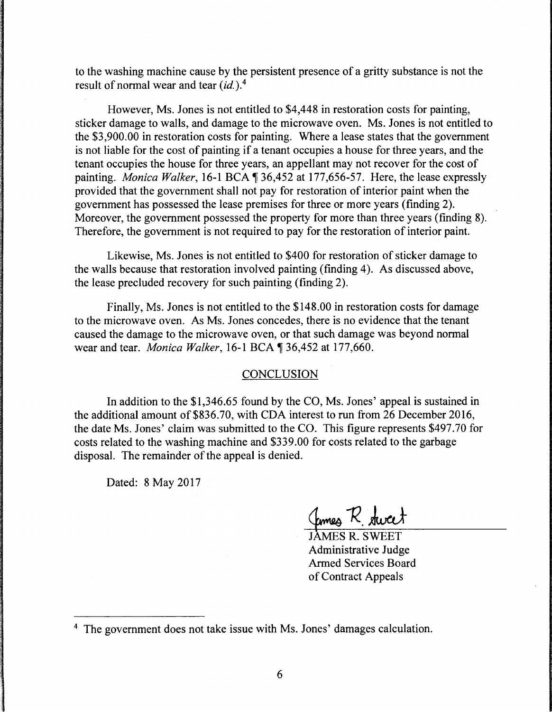to the washing machine cause by the persistent presence of a gritty substance is not the result of normal wear and tear *(id.). <sup>4</sup>*

However, Ms. Jones is not entitled to \$4,448 in restoration costs for painting, sticker damage to walls, and damage to the microwave oven. Ms. Jones is not entitled to the \$3,900.00 in restoration costs for painting. Where a lease states that the government is not liable for the cost of painting if a tenant occupies a house for three years, and the tenant occupies the house for three years, an appellant may not recover for the cost of painting. *Monica Walker*, 16-1 BCA \\$136,452 at 177,656-57. Here, the lease expressly provided that the government shall not pay for restoration of interior paint when the government has possessed the lease premises for three or more years (finding 2). Moreover, the government possessed the property for more than three years (finding 8). Therefore, the government is not required to pay for the restoration of interior paint.

Likewise, Ms. Jones is not entitled to \$400 for restoration of sticker damage to the walls because that restoration involved painting (finding 4). As discussed above, the lease precluded recovery for such painting (finding 2).

Finally, Ms. Jones is not entitled to the \$148.00 in restoration costs for damage to the microwave oven. As Ms. Jones concedes, there is no evidence that the tenant caused the damage to the microwave oven, or that such damage was beyond normal wear and tear. *Monica Walker*, 16-1 BCA ¶ 36,452 at 177,660.

# **CONCLUSION**

In addition to the \$1,346.65 found by the CO, Ms. Jones' appeal is sustained in the additional amount of \$836.70, with CDA interest to run from 26 December 2016, the date Ms. Jones' claim was submitted to the CO. This figure represents \$497.70 for costs related to the washing machine and \$339.00 for costs related to the garbage disposal. The remainder of the appeal is denied.

Dated: 8 May 2017

<u>Comes</u> R. dweet

Administrative Judge Armed Services Board of Contract Appeals

<sup>&</sup>lt;sup>4</sup> The government does not take issue with Ms. Jones' damages calculation.